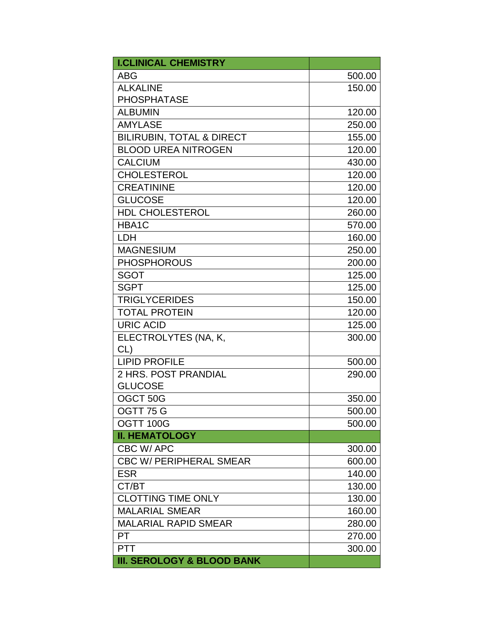| <b>I.CLINICAL CHEMISTRY</b>           |        |
|---------------------------------------|--------|
| <b>ABG</b>                            | 500.00 |
| <b>ALKALINE</b>                       | 150.00 |
| <b>PHOSPHATASE</b>                    |        |
| <b>ALBUMIN</b>                        | 120.00 |
| <b>AMYLASE</b>                        | 250.00 |
| <b>BILIRUBIN, TOTAL &amp; DIRECT</b>  | 155.00 |
| <b>BLOOD UREA NITROGEN</b>            | 120.00 |
| <b>CALCIUM</b>                        | 430.00 |
| <b>CHOLESTEROL</b>                    | 120.00 |
| <b>CREATININE</b>                     | 120.00 |
| <b>GLUCOSE</b>                        | 120.00 |
| <b>HDL CHOLESTEROL</b>                | 260.00 |
| HBA1C                                 | 570.00 |
| <b>LDH</b>                            | 160.00 |
| <b>MAGNESIUM</b>                      | 250.00 |
| <b>PHOSPHOROUS</b>                    | 200.00 |
| <b>SGOT</b>                           | 125.00 |
| <b>SGPT</b>                           | 125.00 |
| <b>TRIGLYCERIDES</b>                  | 150.00 |
| <b>TOTAL PROTEIN</b>                  | 120.00 |
| <b>URIC ACID</b>                      | 125.00 |
| ELECTROLYTES (NA, K,                  | 300.00 |
| $CL$ )                                |        |
| <b>LIPID PROFILE</b>                  | 500.00 |
| 2 HRS. POST PRANDIAL                  | 290.00 |
| <b>GLUCOSE</b>                        |        |
| OGCT 50G                              | 350.00 |
| OGTT 75 G                             | 500.00 |
| OGTT 100G                             | 500.00 |
| <b>II. HEMATOLOGY</b>                 |        |
| CBC W/APC                             | 300.00 |
| <b>CBC W/ PERIPHERAL SMEAR</b>        | 600.00 |
| <b>ESR</b>                            | 140.00 |
| CT/BT                                 | 130.00 |
| <b>CLOTTING TIME ONLY</b>             | 130.00 |
| <b>MALARIAL SMEAR</b>                 | 160.00 |
| <b>MALARIAL RAPID SMEAR</b>           | 280.00 |
| PT                                    | 270.00 |
| <b>PTT</b>                            | 300.00 |
| <b>III. SEROLOGY &amp; BLOOD BANK</b> |        |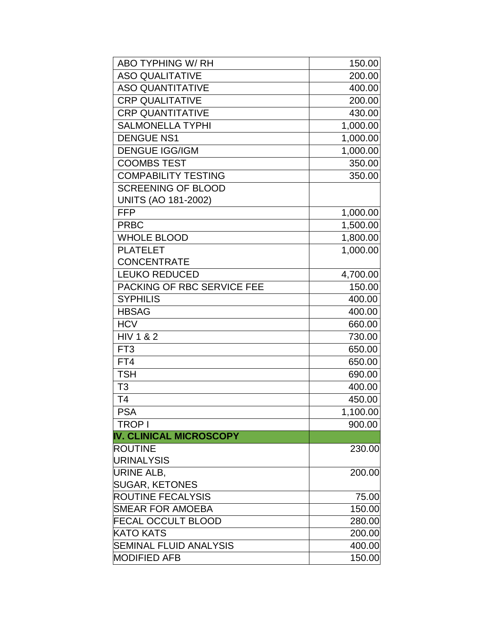| <b>ABO TYPHING W/RH</b>        | 150.00   |
|--------------------------------|----------|
| <b>ASO QUALITATIVE</b>         | 200.00   |
| <b>ASO QUANTITATIVE</b>        | 400.00   |
| <b>CRP QUALITATIVE</b>         | 200.00   |
| <b>CRP QUANTITATIVE</b>        | 430.00   |
| <b>SALMONELLA TYPHI</b>        | 1,000.00 |
| <b>DENGUE NS1</b>              | 1,000.00 |
| <b>DENGUE IGG/IGM</b>          | 1,000.00 |
| <b>COOMBS TEST</b>             | 350.00   |
| <b>COMPABILITY TESTING</b>     | 350.00   |
| <b>SCREENING OF BLOOD</b>      |          |
| <b>UNITS (AO 181-2002)</b>     |          |
| <b>FFP</b>                     | 1,000.00 |
| <b>PRBC</b>                    | 1,500.00 |
| <b>WHOLE BLOOD</b>             | 1,800.00 |
| <b>PLATELET</b>                | 1,000.00 |
| <b>CONCENTRATE</b>             |          |
| <b>LEUKO REDUCED</b>           | 4,700.00 |
| PACKING OF RBC SERVICE FEE     | 150.00   |
| <b>SYPHILIS</b>                | 400.00   |
| <b>HBSAG</b>                   | 400.00   |
| <b>HCV</b>                     | 660.00   |
| <b>HIV 1 &amp; 2</b>           | 730.00   |
| FT <sub>3</sub>                | 650.00   |
| FT4                            | 650.00   |
| <b>TSH</b>                     | 690.00   |
| T <sub>3</sub>                 | 400.00   |
| T <sub>4</sub>                 | 450.00   |
| <b>PSA</b>                     | 1,100.00 |
| l TROP I                       | 900.00   |
| <b>IV. CLINICAL MICROSCOPY</b> |          |
| <b>ROUTINE</b>                 | 230.00   |
| URINALYSIS                     |          |
| <b>URINE ALB,</b>              | 200.00   |
| <b>SUGAR, KETONES</b>          |          |
| <b>ROUTINE FECALYSIS</b>       | 75.00    |
| SMEAR FOR AMOEBA               | 150.00   |
| <b>FECAL OCCULT BLOOD</b>      | 280.00   |
| <b>KATO KATS</b>               | 200.00   |
| <b>SEMINAL FLUID ANALYSIS</b>  | 400.00   |
| <b>MODIFIED AFB</b>            | 150.00   |